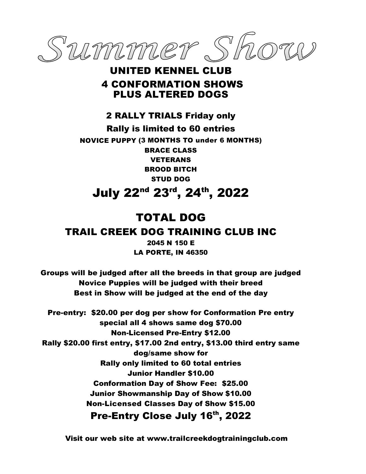

### UNITED KENNEL CLUB 4 CONFORMATION SHOWS PLUS ALTERED DOGS

2 RALLY TRIALS Friday only Rally is limited to 60 entries NOVICE PUPPY (3 MONTHS TO under 6 MONTHS) BRACE CLASS VETERANS BROOD BITCH STUD DOG July 22nd 23rd, 24th , 2022

### TOTAL DOG

### TRAIL CREEK DOG TRAINING CLUB INC

2045 N 150 E LA PORTE, IN 46350

Groups will be judged after all the breeds in that group are judged Novice Puppies will be judged with their breed Best in Show will be judged at the end of the day

Pre-entry: \$20.00 per dog per show for Conformation Pre entry special all 4 shows same dog \$70.00 Non-Licensed Pre-Entry \$12.00 Rally \$20.00 first entry, \$17.00 2nd entry, \$13.00 third entry same dog/same show for Rally only limited to 60 total entries Junior Handler \$10.00 Conformation Day of Show Fee: \$25.00 Junior Showmanship Day of Show \$10.00 Non-Licensed Classes Day of Show \$15.00 Pre-Entry Close July 16th, 2022

Visit our web site at [www.trailcreekdogtrainingclub.com](http://www.trailcreekdogtrainingclub.com/)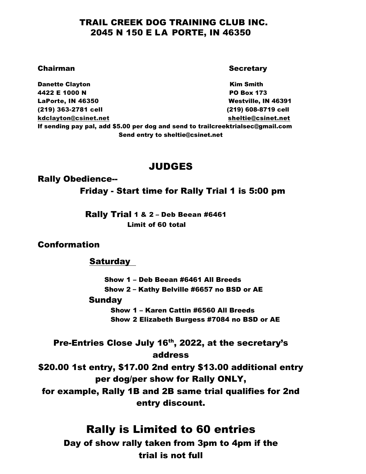### TRAIL CREEK DOG TRAINING CLUB INC. 2045 N 150 E LA PORTE, IN 46350

#### **Chairman Secretary Secretary Secretary** Secretary Secretary Secretary Secretary Secretary Secretary Secretary Secretary Secretary Secretary Secretary Secretary Secretary Secretary Secretary Secretary Secretary Secretary S

**Danette Clayton Contract Clayton Contract Clayton Kim Smith** 4422 E 1000 N **PO Box 173** LaPorte, IN 46350 **Mestrille**, IN 46391 (219) 363-2781 cell (219) 608-8719 cell [kdclayton@csinet.net](mailto:kdclayton@csinet.net) sheltie@csinet.net If sending pay pal, add \$5.00 per dog and send to trailcreektrialsec@gmail.com Send entry to sheltie@csinet.net

### JUDGES

#### Rally Obedience--

#### Friday - Start time for Rally Trial 1 is 5:00 pm

 Rally Trial 1 & 2 – Deb Beean #6461 Limit of 60 total

#### Conformation

#### Saturday

 Show 1 – Deb Beean #6461 All Breeds Show 2 – Kathy Belville #6657 no BSD or AE

#### Sunday

Show 1 – Karen Cattin #6560 All Breeds Show 2 Elizabeth Burgess #7084 no BSD or AE

Pre-Entries Close July 16<sup>th</sup>, 2022, at the secretary's address

\$20.00 1st entry, \$17.00 2nd entry \$13.00 additional entry per dog/per show for Rally ONLY,

for example, Rally 1B and 2B same trial qualifies for 2nd entry discount.

### Rally is Limited to 60 entries

Day of show rally taken from 3pm to 4pm if the trial is not full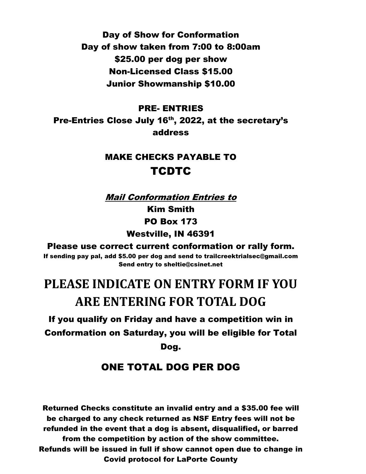Day of Show for Conformation Day of show taken from 7:00 to 8:00am \$25.00 per dog per show Non-Licensed Class \$15.00 Junior Showmanship \$10.00

#### PRE- ENTRIES

Pre-Entries Close July 16<sup>th</sup>, 2022, at the secretary's address

### MAKE CHECKS PAYABLE TO **TCDTC**

Mail Conformation Entries to

Kim Smith PO Box 173 Westville, IN 46391

Please use correct current conformation or rally form.

If sending pay pal, add \$5.00 per dog and send to trailcreektrialsec@gmail.com Send entry to sheltie@csinet.net

# **PLEASE INDICATE ON ENTRY FORM IF YOU ARE ENTERING FOR TOTAL DOG**

If you qualify on Friday and have a competition win in Conformation on Saturday, you will be eligible for Total Dog.

### ONE TOTAL DOG PER DOG

Returned Checks constitute an invalid entry and a \$35.00 fee will be charged to any check returned as NSF Entry fees will not be refunded in the event that a dog is absent, disqualified, or barred from the competition by action of the show committee. Refunds will be issued in full if show cannot open due to change in Covid protocol for LaPorte County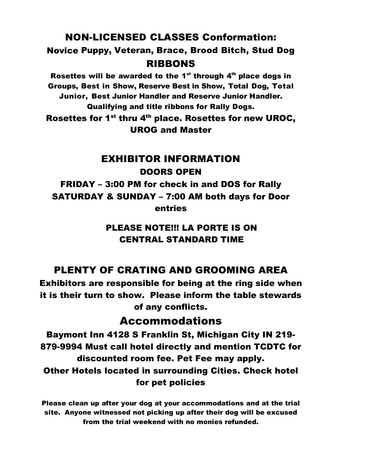NON-LICENSED CLASSES Conformation:

Novice Puppy, Veteran, Brace, Brood Bitch, Stud Dog RIBBONS

Rosettes will be awarded to the 1<sup>st</sup> through  $4<sup>th</sup>$  place dogs in Groups, Best in Show, Reserve Best in Show, Total Dog, Total Junior, Best Junior Handler and Reserve Junior Handler. Qualifying and title ribbons for Rally Dogs. Rosettes for 1<sup>st</sup> thru 4<sup>th</sup> place. Rosettes for new UROC, UROG and Master

### EXHIBITOR INFORMATION DOORS OPEN

FRIDAY – 3:00 PM for check in and DOS for Rally SATURDAY & SUNDAY – 7:00 AM both days for Door entries

### PLEASE NOTE!!! LA PORTE IS ON CENTRAL STANDARD TIME

### PLENTY OF CRATING AND GROOMING AREA

Exhibitors are responsible for being at the ring side when it is their turn to show. Please inform the table stewards of any conflicts.

## Accommodations

Baymont Inn 4128 S Franklin St, Michigan City IN 219- 879-9994 Must call hotel directly and mention TCDTC for discounted room fee. Pet Fee may apply. Other Hotels located in surrounding Cities. Check hotel for pet policies

Please clean up after your dog at your accommodations and at the trial site. Anyone witnessed not picking up after their dog will be excused from the trial weekend with no monies refunded.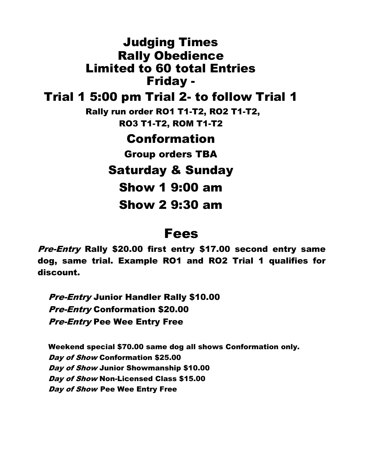Judging Times Rally Obedience Limited to 60 total Entries Friday - Trial 1 5:00 pm Trial 2- to follow Trial 1 Rally run order RO1 T1-T2, RO2 T1-T2, RO3 T1-T2, ROM T1-T2 Conformation Group orders TBA Saturday & Sunday Show 1 9:00 am Show 2 9:30 am

# Fees

Pre-Entry Rally \$20.00 first entry \$17.00 second entry same dog, same trial. Example RO1 and RO2 Trial 1 qualifies for discount.

**Pre-Entry Junior Handler Rally \$10.00** Pre-Entry Conformation \$20.00 Pre-Entry Pee Wee Entry Free

Weekend special \$70.00 same dog all shows Conformation only. Day of Show Conformation \$25.00 Day of Show Junior Showmanship \$10.00 Day of Show Non-Licensed Class \$15.00 Day of Show Pee Wee Entry Free